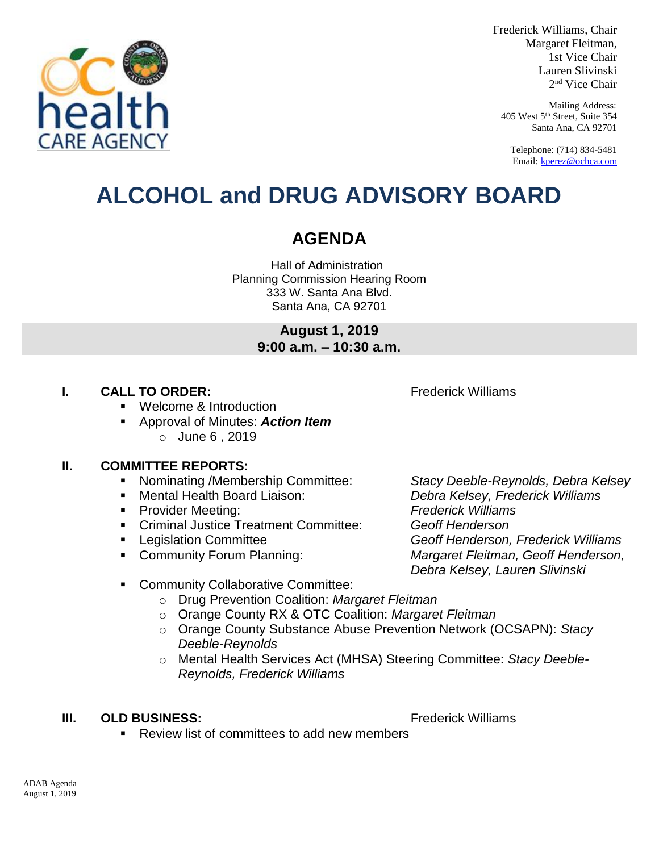

Frederick Williams, Chair Margaret Fleitman, 1st Vice Chair Lauren Slivinski 2 nd Vice Chair

Mailing Address: 405 West 5th Street, Suite 354 Santa Ana, CA 92701

Telephone: (714) 834-5481 Email[: kperez@ochca.com](mailto:kperez@ochca.com)

## **ALCOHOL and DRUG ADVISORY BOARD**

## **AGENDA**

Hall of Administration Planning Commission Hearing Room 333 W. Santa Ana Blvd. Santa Ana, CA 92701

> **August 1, 2019 9:00 a.m. – 10:30 a.m.**

#### **I. CALL TO ORDER:** Frederick Williams

Welcome & Introduction

 Approval of Minutes: *Action Item* o June 6 , 2019

#### **II. COMMITTEE REPORTS:**

- Nominating /Membership Committee: *Stacy Deeble-Reynolds, Debra Kelsey*
- 
- Provider Meeting: *Frederick Williams*
- Criminal Justice Treatment Committee: *Geoff Henderson*
- 
- 

 Mental Health Board Liaison: *Debra Kelsey, Frederick Williams* Legislation Committee *Geoff Henderson, Frederick Williams* 

 Community Forum Planning: *Margaret Fleitman, Geoff Henderson, Debra Kelsey, Lauren Slivinski*

- **EXECOMMUNITY Collaborative Committee:** 
	- o Drug Prevention Coalition: *Margaret Fleitman*
	- o Orange County RX & OTC Coalition: *Margaret Fleitman*
	- o Orange County Substance Abuse Prevention Network (OCSAPN): *Stacy Deeble-Reynolds*
	- o Mental Health Services Act (MHSA) Steering Committee: *Stacy Deeble-Reynolds, Frederick Williams*

#### **III. OLD BUSINESS:** The Contract of the Contract of Trederick Williams

- 
- Review list of committees to add new members